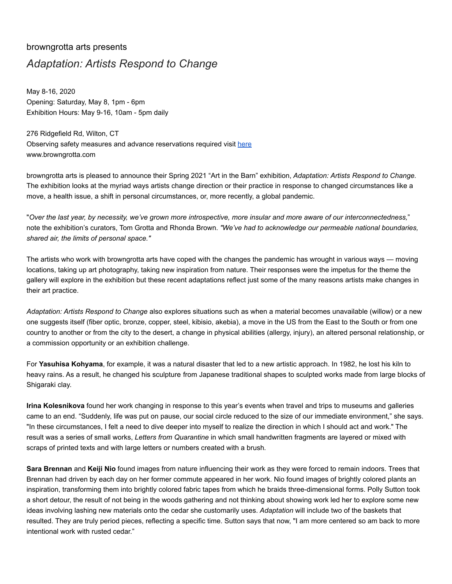## browngrotta arts presents *Adaptation: Artists Respond to Change*

May 8-16, 2020 Opening: Saturday, May 8, 1pm - 6pm Exhibition Hours: May 9-16, 10am - 5pm daily

276 Ridgefield Rd, Wilton, CT Observing safety measures and advance reservations required visit [here](https://www.eventbrite.com/e/adaptation-artists-respond-to-change-tickets-148974728423) www.browngrotta.com

browngrotta arts is pleased to announce their Spring 2021 "Art in the Barn" exhibition, *Adaptation: Artists Respond to Change.* The exhibition looks at the myriad ways artists change direction or their practice in response to changed circumstances like a move, a health issue, a shift in personal circumstances, or, more recently, a global pandemic.

"*Over the last year, by necessity, we've grown more introspective, more insular and more aware of our interconnectedness,*" note the exhibition's curators, Tom Grotta and Rhonda Brown. *"We've had to acknowledge our permeable national boundaries, shared air, the limits of personal space."*

The artists who work with browngrotta arts have coped with the changes the pandemic has wrought in various ways — moving locations, taking up art photography, taking new inspiration from nature. Their responses were the impetus for the theme the gallery will explore in the exhibition but these recent adaptations reflect just some of the many reasons artists make changes in their art practice.

*Adaptation: Artists Respond to Change* also explores situations such as when a material becomes unavailable (willow) or a new one suggests itself (fiber optic, bronze, copper, steel, kibisio, akebia), a move in the US from the East to the South or from one country to another or from the city to the desert, a change in physical abilities (allergy, injury), an altered personal relationship, or a commission opportunity or an exhibition challenge.

For **Yasuhisa Kohyama**, for example, it was a natural disaster that led to a new artistic approach. In 1982, he lost his kiln to heavy rains. As a result, he changed his sculpture from Japanese traditional shapes to sculpted works made from large blocks of Shigaraki clay.

**Irina Kolesnikova** found her work changing in response to this year's events when travel and trips to museums and galleries came to an end. "Suddenly, life was put on pause, our social circle reduced to the size of our immediate environment," she says. "In these circumstances, I felt a need to dive deeper into myself to realize the direction in which I should act and work." The result was a series of small works, *Letters from Quarantine* in which small handwritten fragments are layered or mixed with scraps of printed texts and with large letters or numbers created with a brush*.*

**Sara Brennan** and **Keiji Nio** found images from nature influencing their work as they were forced to remain indoors. Trees that Brennan had driven by each day on her former commute appeared in her work. Nio found images of brightly colored plants an inspiration, transforming them into brightly colored fabric tapes from which he braids three-dimensional forms. Polly Sutton took a short detour, the result of not being in the woods gathering and not thinking about showing work led her to explore some new ideas involving lashing new materials onto the cedar she customarily uses. *Adaptation* will include two of the baskets that resulted. They are truly period pieces, reflecting a specific time. Sutton says that now, "I am more centered so am back to more intentional work with rusted cedar."